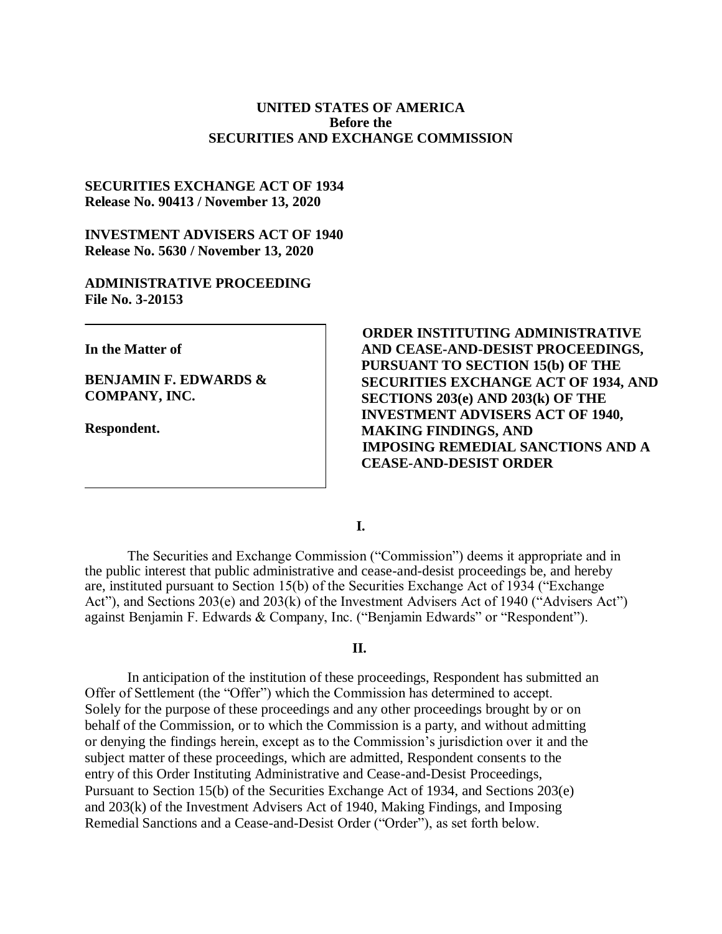#### **UNITED STATES OF AMERICA Before the SECURITIES AND EXCHANGE COMMISSION**

### **SECURITIES EXCHANGE ACT OF 1934 Release No. 90413 / November 13, 2020**

#### **INVESTMENT ADVISERS ACT OF 1940 Release No. 5630 / November 13, 2020**

#### **ADMINISTRATIVE PROCEEDING File No. 3-20153**

**In the Matter of**

**BENJAMIN F. EDWARDS & COMPANY, INC.** 

**Respondent.**

 **ORDER INSTITUTING ADMINISTRATIVE AND CEASE-AND-DESIST PROCEEDINGS, PURSUANT TO SECTION 15(b) OF THE SECURITIES EXCHANGE ACT OF 1934, AND SECTIONS 203(e) AND 203(k) OF THE INVESTMENT ADVISERS ACT OF 1940, MAKING FINDINGS, AND IMPOSING REMEDIAL SANCTIONS AND A CEASE-AND-DESIST ORDER**

**I.**

The Securities and Exchange Commission ("Commission") deems it appropriate and in the public interest that public administrative and cease-and-desist proceedings be, and hereby are, instituted pursuant to Section 15(b) of the Securities Exchange Act of 1934 ("Exchange Act"), and Sections 203(e) and 203(k) of the Investment Advisers Act of 1940 ("Advisers Act") against Benjamin F. Edwards & Company, Inc. ("Benjamin Edwards" or "Respondent").

#### **II.**

In anticipation of the institution of these proceedings, Respondent has submitted an Offer of Settlement (the "Offer") which the Commission has determined to accept. Solely for the purpose of these proceedings and any other proceedings brought by or on behalf of the Commission, or to which the Commission is a party, and without admitting or denying the findings herein, except as to the Commission's jurisdiction over it and the subject matter of these proceedings, which are admitted, Respondent consents to the entry of this Order Instituting Administrative and Cease-and-Desist Proceedings, Pursuant to Section 15(b) of the Securities Exchange Act of 1934, and Sections 203(e) and 203(k) of the Investment Advisers Act of 1940, Making Findings, and Imposing Remedial Sanctions and a Cease-and-Desist Order ("Order"), as set forth below.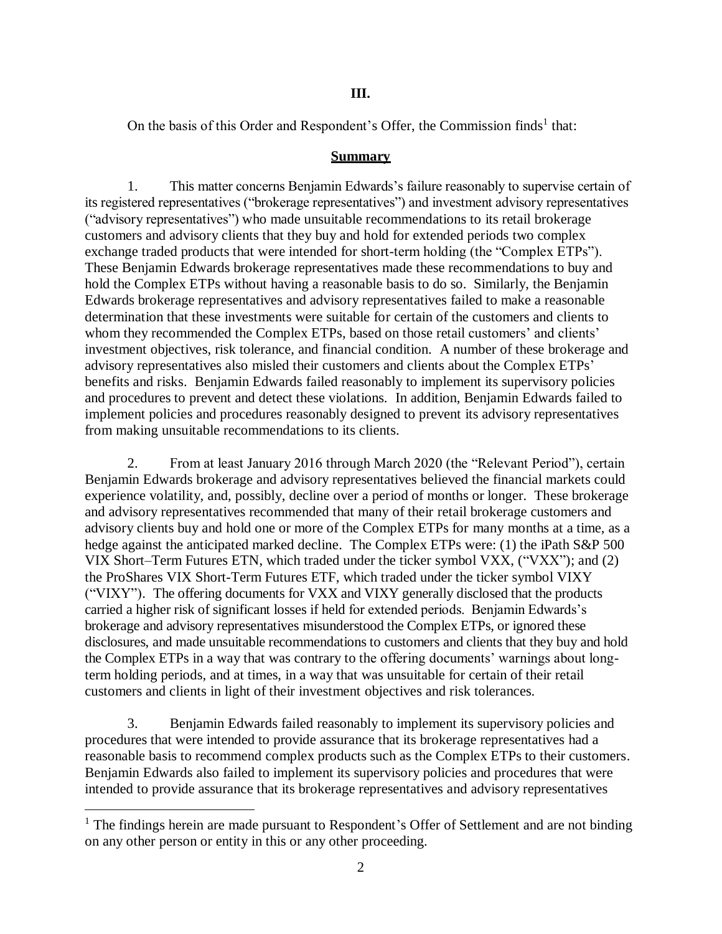#### **III.**

On the basis of this Order and Respondent's Offer, the Commission finds<sup>1</sup> that:

#### **Summary**

1. This matter concerns Benjamin Edwards's failure reasonably to supervise certain of its registered representatives ("brokerage representatives") and investment advisory representatives ("advisory representatives") who made unsuitable recommendations to its retail brokerage customers and advisory clients that they buy and hold for extended periods two complex exchange traded products that were intended for short-term holding (the "Complex ETPs"). These Benjamin Edwards brokerage representatives made these recommendations to buy and hold the Complex ETPs without having a reasonable basis to do so. Similarly, the Benjamin Edwards brokerage representatives and advisory representatives failed to make a reasonable determination that these investments were suitable for certain of the customers and clients to whom they recommended the Complex ETPs, based on those retail customers' and clients' investment objectives, risk tolerance, and financial condition. A number of these brokerage and advisory representatives also misled their customers and clients about the Complex ETPs' benefits and risks. Benjamin Edwards failed reasonably to implement its supervisory policies and procedures to prevent and detect these violations. In addition, Benjamin Edwards failed to implement policies and procedures reasonably designed to prevent its advisory representatives from making unsuitable recommendations to its clients.

2. From at least January 2016 through March 2020 (the "Relevant Period"), certain Benjamin Edwards brokerage and advisory representatives believed the financial markets could experience volatility, and, possibly, decline over a period of months or longer. These brokerage and advisory representatives recommended that many of their retail brokerage customers and advisory clients buy and hold one or more of the Complex ETPs for many months at a time, as a hedge against the anticipated marked decline. The Complex ETPs were: (1) the iPath S&P 500 VIX Short–Term Futures ETN, which traded under the ticker symbol VXX, ("VXX"); and (2) the ProShares VIX Short-Term Futures ETF, which traded under the ticker symbol VIXY ("VIXY"). The offering documents for VXX and VIXY generally disclosed that the products carried a higher risk of significant losses if held for extended periods. Benjamin Edwards's brokerage and advisory representatives misunderstood the Complex ETPs, or ignored these disclosures, and made unsuitable recommendations to customers and clients that they buy and hold the Complex ETPs in a way that was contrary to the offering documents' warnings about longterm holding periods, and at times, in a way that was unsuitable for certain of their retail customers and clients in light of their investment objectives and risk tolerances.

3. Benjamin Edwards failed reasonably to implement its supervisory policies and procedures that were intended to provide assurance that its brokerage representatives had a reasonable basis to recommend complex products such as the Complex ETPs to their customers. Benjamin Edwards also failed to implement its supervisory policies and procedures that were intended to provide assurance that its brokerage representatives and advisory representatives

 $\overline{a}$ 

 $<sup>1</sup>$  The findings herein are made pursuant to Respondent's Offer of Settlement and are not binding</sup> on any other person or entity in this or any other proceeding.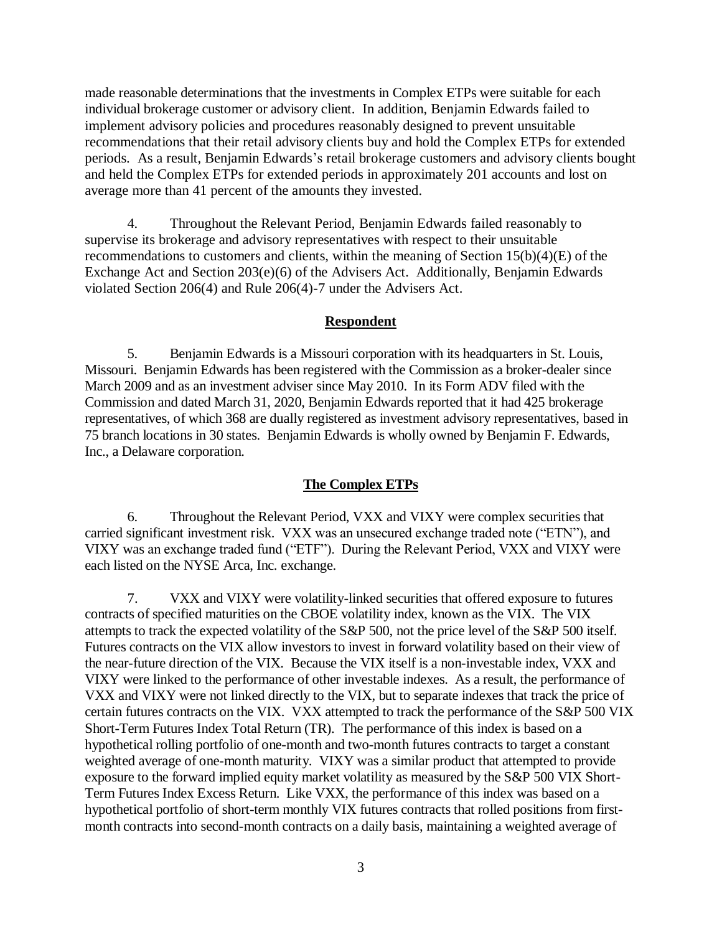made reasonable determinations that the investments in Complex ETPs were suitable for each individual brokerage customer or advisory client. In addition, Benjamin Edwards failed to implement advisory policies and procedures reasonably designed to prevent unsuitable recommendations that their retail advisory clients buy and hold the Complex ETPs for extended periods. As a result, Benjamin Edwards's retail brokerage customers and advisory clients bought and held the Complex ETPs for extended periods in approximately 201 accounts and lost on average more than 41 percent of the amounts they invested.

4. Throughout the Relevant Period, Benjamin Edwards failed reasonably to supervise its brokerage and advisory representatives with respect to their unsuitable recommendations to customers and clients, within the meaning of Section 15(b)(4)(E) of the Exchange Act and Section 203(e)(6) of the Advisers Act. Additionally, Benjamin Edwards violated Section 206(4) and Rule 206(4)-7 under the Advisers Act.

### **Respondent**

5. Benjamin Edwards is a Missouri corporation with its headquarters in St. Louis, Missouri. Benjamin Edwards has been registered with the Commission as a broker-dealer since March 2009 and as an investment adviser since May 2010. In its Form ADV filed with the Commission and dated March 31, 2020, Benjamin Edwards reported that it had 425 brokerage representatives, of which 368 are dually registered as investment advisory representatives, based in 75 branch locations in 30 states. Benjamin Edwards is wholly owned by Benjamin F. Edwards, Inc., a Delaware corporation.

### **The Complex ETPs**

6. Throughout the Relevant Period, VXX and VIXY were complex securities that carried significant investment risk. VXX was an unsecured exchange traded note ("ETN"), and VIXY was an exchange traded fund ("ETF"). During the Relevant Period, VXX and VIXY were each listed on the NYSE Arca, Inc. exchange.

7. VXX and VIXY were volatility-linked securities that offered exposure to futures contracts of specified maturities on the CBOE volatility index, known as the VIX. The VIX attempts to track the expected volatility of the S&P 500, not the price level of the S&P 500 itself. Futures contracts on the VIX allow investors to invest in forward volatility based on their view of the near-future direction of the VIX. Because the VIX itself is a non-investable index, VXX and VIXY were linked to the performance of other investable indexes. As a result, the performance of VXX and VIXY were not linked directly to the VIX, but to separate indexes that track the price of certain futures contracts on the VIX. VXX attempted to track the performance of the S&P 500 VIX Short-Term Futures Index Total Return (TR). The performance of this index is based on a hypothetical rolling portfolio of one-month and two-month futures contracts to target a constant weighted average of one-month maturity. VIXY was a similar product that attempted to provide exposure to the forward implied equity market volatility as measured by the S&P 500 VIX Short-Term Futures Index Excess Return. Like VXX, the performance of this index was based on a hypothetical portfolio of short-term monthly VIX futures contracts that rolled positions from firstmonth contracts into second-month contracts on a daily basis, maintaining a weighted average of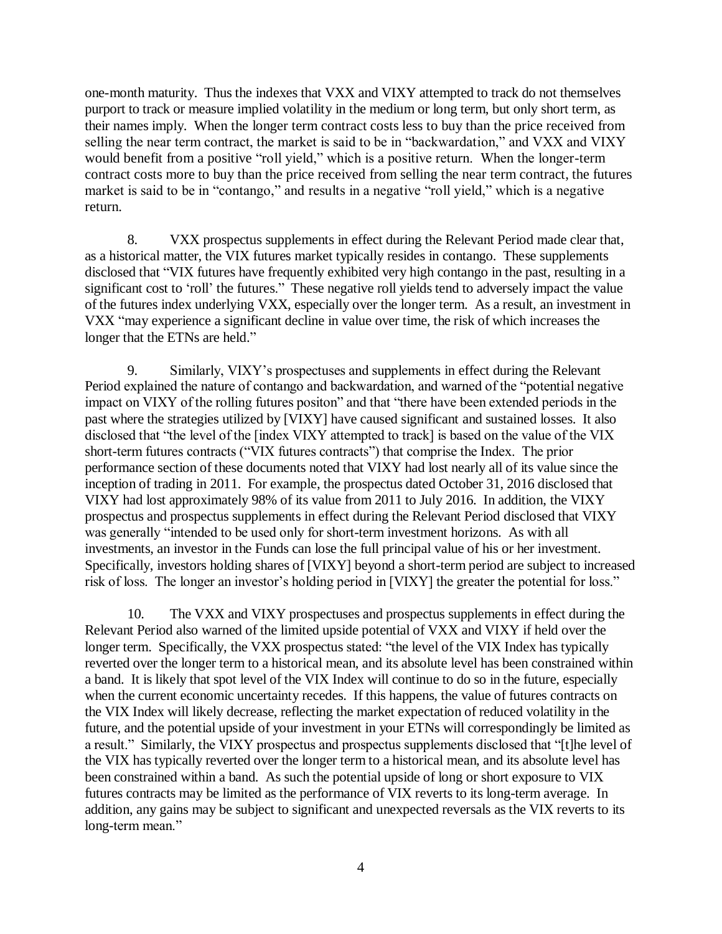one-month maturity. Thus the indexes that VXX and VIXY attempted to track do not themselves purport to track or measure implied volatility in the medium or long term, but only short term, as their names imply. When the longer term contract costs less to buy than the price received from selling the near term contract, the market is said to be in "backwardation," and VXX and VIXY would benefit from a positive "roll yield," which is a positive return. When the longer-term contract costs more to buy than the price received from selling the near term contract, the futures market is said to be in "contango," and results in a negative "roll yield," which is a negative return.

8. VXX prospectus supplements in effect during the Relevant Period made clear that, as a historical matter, the VIX futures market typically resides in contango. These supplements disclosed that "VIX futures have frequently exhibited very high contango in the past, resulting in a significant cost to 'roll' the futures." These negative roll yields tend to adversely impact the value of the futures index underlying VXX, especially over the longer term. As a result, an investment in VXX "may experience a significant decline in value over time, the risk of which increases the longer that the ETNs are held."

9. Similarly, VIXY's prospectuses and supplements in effect during the Relevant Period explained the nature of contango and backwardation, and warned of the "potential negative impact on VIXY of the rolling futures positon" and that "there have been extended periods in the past where the strategies utilized by [VIXY] have caused significant and sustained losses. It also disclosed that "the level of the [index VIXY attempted to track] is based on the value of the VIX short-term futures contracts ("VIX futures contracts") that comprise the Index. The prior performance section of these documents noted that VIXY had lost nearly all of its value since the inception of trading in 2011. For example, the prospectus dated October 31, 2016 disclosed that VIXY had lost approximately 98% of its value from 2011 to July 2016. In addition, the VIXY prospectus and prospectus supplements in effect during the Relevant Period disclosed that VIXY was generally "intended to be used only for short-term investment horizons. As with all investments, an investor in the Funds can lose the full principal value of his or her investment. Specifically, investors holding shares of [VIXY] beyond a short-term period are subject to increased risk of loss. The longer an investor's holding period in [VIXY] the greater the potential for loss."

10. The VXX and VIXY prospectuses and prospectus supplements in effect during the Relevant Period also warned of the limited upside potential of VXX and VIXY if held over the longer term. Specifically, the VXX prospectus stated: "the level of the VIX Index has typically reverted over the longer term to a historical mean, and its absolute level has been constrained within a band. It is likely that spot level of the VIX Index will continue to do so in the future, especially when the current economic uncertainty recedes. If this happens, the value of futures contracts on the VIX Index will likely decrease, reflecting the market expectation of reduced volatility in the future, and the potential upside of your investment in your ETNs will correspondingly be limited as a result." Similarly, the VIXY prospectus and prospectus supplements disclosed that "[t]he level of the VIX has typically reverted over the longer term to a historical mean, and its absolute level has been constrained within a band. As such the potential upside of long or short exposure to VIX futures contracts may be limited as the performance of VIX reverts to its long-term average. In addition, any gains may be subject to significant and unexpected reversals as the VIX reverts to its long-term mean."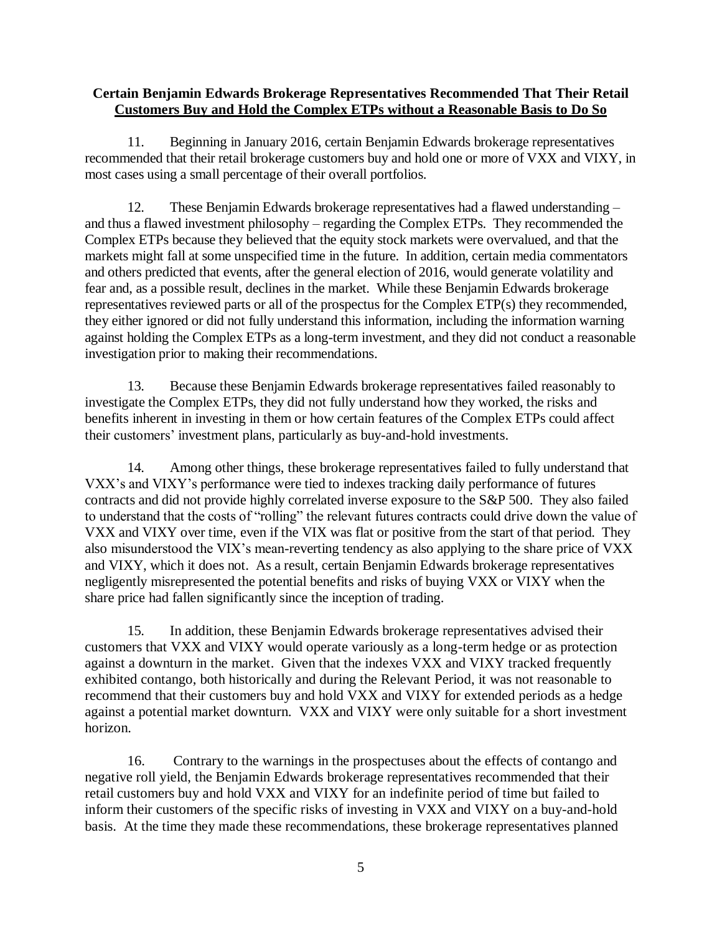## **Certain Benjamin Edwards Brokerage Representatives Recommended That Their Retail Customers Buy and Hold the Complex ETPs without a Reasonable Basis to Do So**

11. Beginning in January 2016, certain Benjamin Edwards brokerage representatives recommended that their retail brokerage customers buy and hold one or more of VXX and VIXY, in most cases using a small percentage of their overall portfolios.

12. These Benjamin Edwards brokerage representatives had a flawed understanding – and thus a flawed investment philosophy – regarding the Complex ETPs. They recommended the Complex ETPs because they believed that the equity stock markets were overvalued, and that the markets might fall at some unspecified time in the future. In addition, certain media commentators and others predicted that events, after the general election of 2016, would generate volatility and fear and, as a possible result, declines in the market. While these Benjamin Edwards brokerage representatives reviewed parts or all of the prospectus for the Complex ETP(s) they recommended, they either ignored or did not fully understand this information, including the information warning against holding the Complex ETPs as a long-term investment, and they did not conduct a reasonable investigation prior to making their recommendations.

13. Because these Benjamin Edwards brokerage representatives failed reasonably to investigate the Complex ETPs, they did not fully understand how they worked, the risks and benefits inherent in investing in them or how certain features of the Complex ETPs could affect their customers' investment plans, particularly as buy-and-hold investments.

14. Among other things, these brokerage representatives failed to fully understand that VXX's and VIXY's performance were tied to indexes tracking daily performance of futures contracts and did not provide highly correlated inverse exposure to the S&P 500. They also failed to understand that the costs of "rolling" the relevant futures contracts could drive down the value of VXX and VIXY over time, even if the VIX was flat or positive from the start of that period. They also misunderstood the VIX's mean-reverting tendency as also applying to the share price of VXX and VIXY, which it does not. As a result, certain Benjamin Edwards brokerage representatives negligently misrepresented the potential benefits and risks of buying VXX or VIXY when the share price had fallen significantly since the inception of trading.

15. In addition, these Benjamin Edwards brokerage representatives advised their customers that VXX and VIXY would operate variously as a long-term hedge or as protection against a downturn in the market. Given that the indexes VXX and VIXY tracked frequently exhibited contango, both historically and during the Relevant Period, it was not reasonable to recommend that their customers buy and hold VXX and VIXY for extended periods as a hedge against a potential market downturn. VXX and VIXY were only suitable for a short investment horizon.

16. Contrary to the warnings in the prospectuses about the effects of contango and negative roll yield, the Benjamin Edwards brokerage representatives recommended that their retail customers buy and hold VXX and VIXY for an indefinite period of time but failed to inform their customers of the specific risks of investing in VXX and VIXY on a buy-and-hold basis. At the time they made these recommendations, these brokerage representatives planned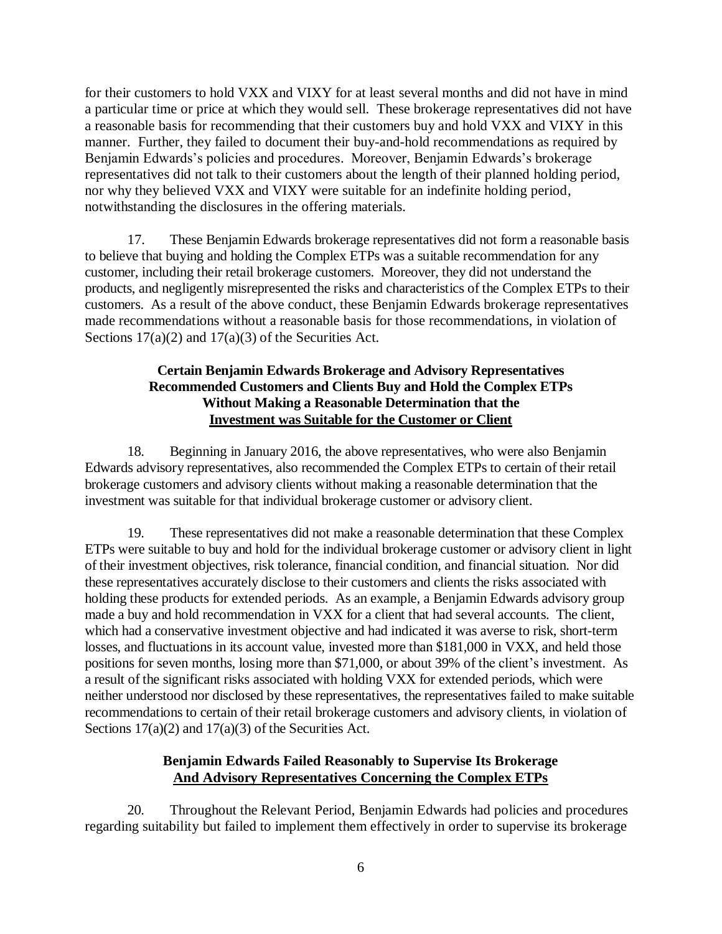for their customers to hold VXX and VIXY for at least several months and did not have in mind a particular time or price at which they would sell. These brokerage representatives did not have a reasonable basis for recommending that their customers buy and hold VXX and VIXY in this manner. Further, they failed to document their buy-and-hold recommendations as required by Benjamin Edwards's policies and procedures. Moreover, Benjamin Edwards's brokerage representatives did not talk to their customers about the length of their planned holding period, nor why they believed VXX and VIXY were suitable for an indefinite holding period, notwithstanding the disclosures in the offering materials.

17. These Benjamin Edwards brokerage representatives did not form a reasonable basis to believe that buying and holding the Complex ETPs was a suitable recommendation for any customer, including their retail brokerage customers. Moreover, they did not understand the products, and negligently misrepresented the risks and characteristics of the Complex ETPs to their customers. As a result of the above conduct, these Benjamin Edwards brokerage representatives made recommendations without a reasonable basis for those recommendations, in violation of Sections  $17(a)(2)$  and  $17(a)(3)$  of the Securities Act.

## **Certain Benjamin Edwards Brokerage and Advisory Representatives Recommended Customers and Clients Buy and Hold the Complex ETPs Without Making a Reasonable Determination that the Investment was Suitable for the Customer or Client**

18. Beginning in January 2016, the above representatives, who were also Benjamin Edwards advisory representatives, also recommended the Complex ETPs to certain of their retail brokerage customers and advisory clients without making a reasonable determination that the investment was suitable for that individual brokerage customer or advisory client.

19. These representatives did not make a reasonable determination that these Complex ETPs were suitable to buy and hold for the individual brokerage customer or advisory client in light of their investment objectives, risk tolerance, financial condition, and financial situation. Nor did these representatives accurately disclose to their customers and clients the risks associated with holding these products for extended periods. As an example, a Benjamin Edwards advisory group made a buy and hold recommendation in VXX for a client that had several accounts. The client, which had a conservative investment objective and had indicated it was averse to risk, short-term losses, and fluctuations in its account value, invested more than \$181,000 in VXX, and held those positions for seven months, losing more than \$71,000, or about 39% of the client's investment. As a result of the significant risks associated with holding VXX for extended periods, which were neither understood nor disclosed by these representatives, the representatives failed to make suitable recommendations to certain of their retail brokerage customers and advisory clients, in violation of Sections  $17(a)(2)$  and  $17(a)(3)$  of the Securities Act.

## **Benjamin Edwards Failed Reasonably to Supervise Its Brokerage And Advisory Representatives Concerning the Complex ETPs**

20. Throughout the Relevant Period, Benjamin Edwards had policies and procedures regarding suitability but failed to implement them effectively in order to supervise its brokerage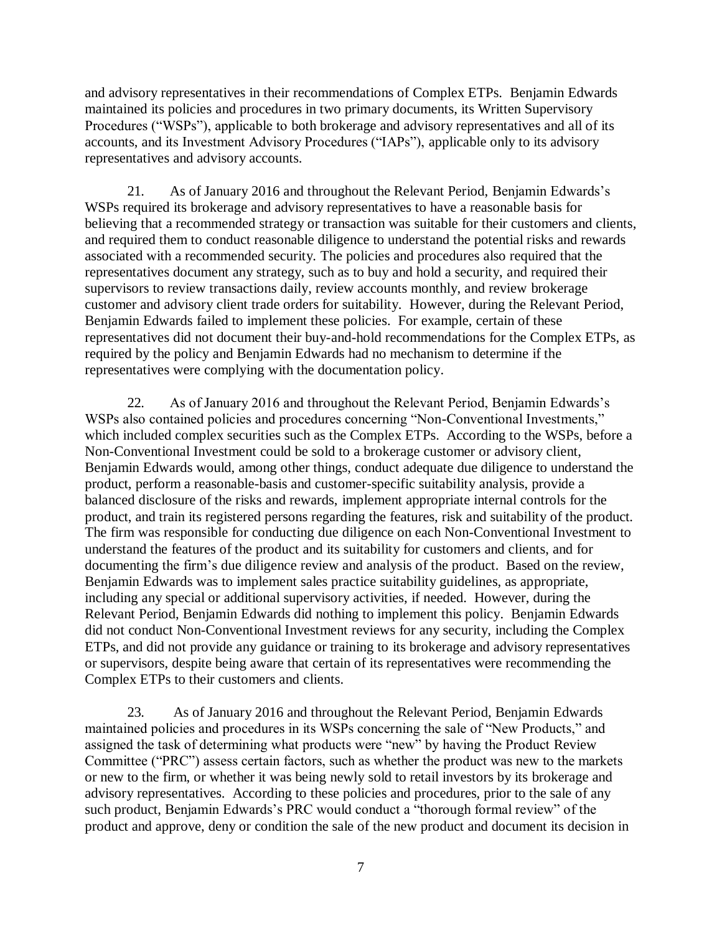and advisory representatives in their recommendations of Complex ETPs. Benjamin Edwards maintained its policies and procedures in two primary documents, its Written Supervisory Procedures ("WSPs"), applicable to both brokerage and advisory representatives and all of its accounts, and its Investment Advisory Procedures ("IAPs"), applicable only to its advisory representatives and advisory accounts.

21. As of January 2016 and throughout the Relevant Period, Benjamin Edwards's WSPs required its brokerage and advisory representatives to have a reasonable basis for believing that a recommended strategy or transaction was suitable for their customers and clients, and required them to conduct reasonable diligence to understand the potential risks and rewards associated with a recommended security. The policies and procedures also required that the representatives document any strategy, such as to buy and hold a security, and required their supervisors to review transactions daily, review accounts monthly, and review brokerage customer and advisory client trade orders for suitability. However, during the Relevant Period, Benjamin Edwards failed to implement these policies. For example, certain of these representatives did not document their buy-and-hold recommendations for the Complex ETPs, as required by the policy and Benjamin Edwards had no mechanism to determine if the representatives were complying with the documentation policy.

22. As of January 2016 and throughout the Relevant Period, Benjamin Edwards's WSPs also contained policies and procedures concerning "Non-Conventional Investments," which included complex securities such as the Complex ETPs. According to the WSPs, before a Non-Conventional Investment could be sold to a brokerage customer or advisory client, Benjamin Edwards would, among other things, conduct adequate due diligence to understand the product, perform a reasonable-basis and customer-specific suitability analysis, provide a balanced disclosure of the risks and rewards, implement appropriate internal controls for the product, and train its registered persons regarding the features, risk and suitability of the product. The firm was responsible for conducting due diligence on each Non-Conventional Investment to understand the features of the product and its suitability for customers and clients, and for documenting the firm's due diligence review and analysis of the product. Based on the review, Benjamin Edwards was to implement sales practice suitability guidelines, as appropriate, including any special or additional supervisory activities, if needed. However, during the Relevant Period, Benjamin Edwards did nothing to implement this policy. Benjamin Edwards did not conduct Non-Conventional Investment reviews for any security, including the Complex ETPs, and did not provide any guidance or training to its brokerage and advisory representatives or supervisors, despite being aware that certain of its representatives were recommending the Complex ETPs to their customers and clients.

23. As of January 2016 and throughout the Relevant Period, Benjamin Edwards maintained policies and procedures in its WSPs concerning the sale of "New Products," and assigned the task of determining what products were "new" by having the Product Review Committee ("PRC") assess certain factors, such as whether the product was new to the markets or new to the firm, or whether it was being newly sold to retail investors by its brokerage and advisory representatives. According to these policies and procedures, prior to the sale of any such product, Benjamin Edwards's PRC would conduct a "thorough formal review" of the product and approve, deny or condition the sale of the new product and document its decision in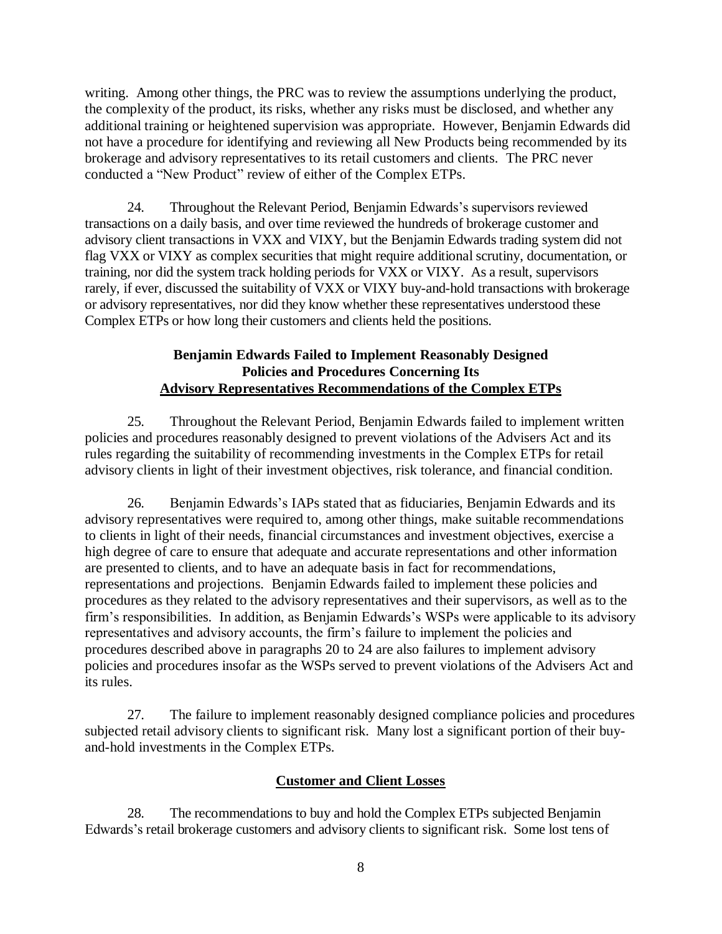writing. Among other things, the PRC was to review the assumptions underlying the product, the complexity of the product, its risks, whether any risks must be disclosed, and whether any additional training or heightened supervision was appropriate. However, Benjamin Edwards did not have a procedure for identifying and reviewing all New Products being recommended by its brokerage and advisory representatives to its retail customers and clients. The PRC never conducted a "New Product" review of either of the Complex ETPs.

24. Throughout the Relevant Period, Benjamin Edwards's supervisors reviewed transactions on a daily basis, and over time reviewed the hundreds of brokerage customer and advisory client transactions in VXX and VIXY, but the Benjamin Edwards trading system did not flag VXX or VIXY as complex securities that might require additional scrutiny, documentation, or training, nor did the system track holding periods for VXX or VIXY. As a result, supervisors rarely, if ever, discussed the suitability of VXX or VIXY buy-and-hold transactions with brokerage or advisory representatives, nor did they know whether these representatives understood these Complex ETPs or how long their customers and clients held the positions.

# **Benjamin Edwards Failed to Implement Reasonably Designed Policies and Procedures Concerning Its Advisory Representatives Recommendations of the Complex ETPs**

25. Throughout the Relevant Period, Benjamin Edwards failed to implement written policies and procedures reasonably designed to prevent violations of the Advisers Act and its rules regarding the suitability of recommending investments in the Complex ETPs for retail advisory clients in light of their investment objectives, risk tolerance, and financial condition.

26. Benjamin Edwards's IAPs stated that as fiduciaries, Benjamin Edwards and its advisory representatives were required to, among other things, make suitable recommendations to clients in light of their needs, financial circumstances and investment objectives, exercise a high degree of care to ensure that adequate and accurate representations and other information are presented to clients, and to have an adequate basis in fact for recommendations, representations and projections. Benjamin Edwards failed to implement these policies and procedures as they related to the advisory representatives and their supervisors, as well as to the firm's responsibilities. In addition, as Benjamin Edwards's WSPs were applicable to its advisory representatives and advisory accounts, the firm's failure to implement the policies and procedures described above in paragraphs 20 to 24 are also failures to implement advisory policies and procedures insofar as the WSPs served to prevent violations of the Advisers Act and its rules.

27. The failure to implement reasonably designed compliance policies and procedures subjected retail advisory clients to significant risk. Many lost a significant portion of their buyand-hold investments in the Complex ETPs.

## **Customer and Client Losses**

28. The recommendations to buy and hold the Complex ETPs subjected Benjamin Edwards's retail brokerage customers and advisory clients to significant risk. Some lost tens of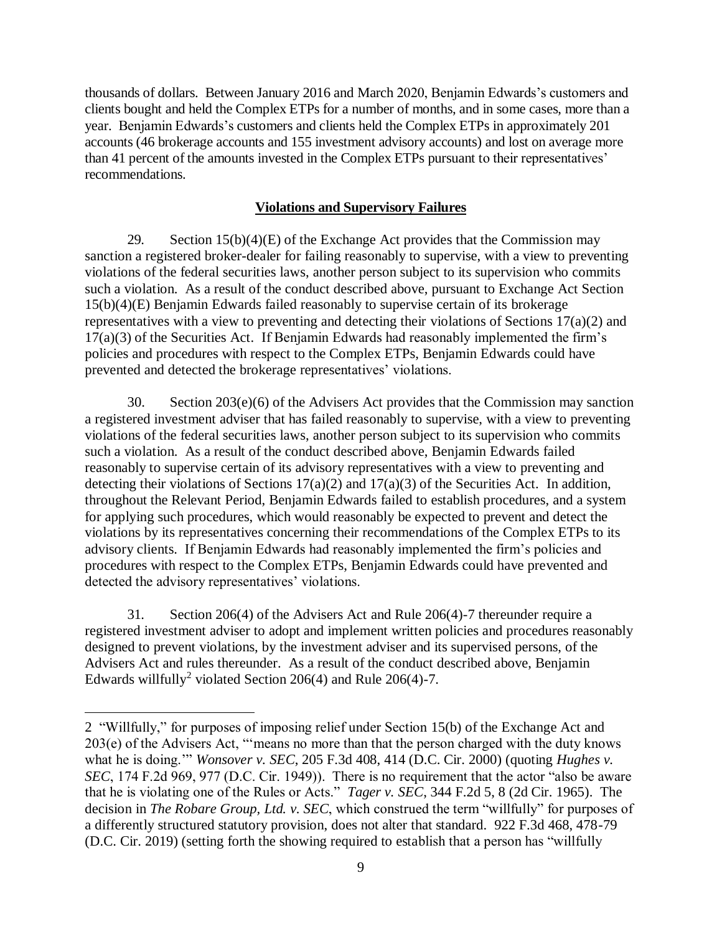thousands of dollars. Between January 2016 and March 2020, Benjamin Edwards's customers and clients bought and held the Complex ETPs for a number of months, and in some cases, more than a year. Benjamin Edwards's customers and clients held the Complex ETPs in approximately 201 accounts (46 brokerage accounts and 155 investment advisory accounts) and lost on average more than 41 percent of the amounts invested in the Complex ETPs pursuant to their representatives' recommendations.

## **Violations and Supervisory Failures**

29. Section  $15(b)(4)(E)$  of the Exchange Act provides that the Commission may sanction a registered broker-dealer for failing reasonably to supervise, with a view to preventing violations of the federal securities laws, another person subject to its supervision who commits such a violation. As a result of the conduct described above, pursuant to Exchange Act Section 15(b)(4)(E) Benjamin Edwards failed reasonably to supervise certain of its brokerage representatives with a view to preventing and detecting their violations of Sections 17(a)(2) and 17(a)(3) of the Securities Act. If Benjamin Edwards had reasonably implemented the firm's policies and procedures with respect to the Complex ETPs, Benjamin Edwards could have prevented and detected the brokerage representatives' violations.

30. Section 203(e)(6) of the Advisers Act provides that the Commission may sanction a registered investment adviser that has failed reasonably to supervise, with a view to preventing violations of the federal securities laws, another person subject to its supervision who commits such a violation. As a result of the conduct described above, Benjamin Edwards failed reasonably to supervise certain of its advisory representatives with a view to preventing and detecting their violations of Sections 17(a)(2) and 17(a)(3) of the Securities Act. In addition, throughout the Relevant Period, Benjamin Edwards failed to establish procedures, and a system for applying such procedures, which would reasonably be expected to prevent and detect the violations by its representatives concerning their recommendations of the Complex ETPs to its advisory clients. If Benjamin Edwards had reasonably implemented the firm's policies and procedures with respect to the Complex ETPs, Benjamin Edwards could have prevented and detected the advisory representatives' violations.

31. Section 206(4) of the Advisers Act and Rule 206(4)-7 thereunder require a registered investment adviser to adopt and implement written policies and procedures reasonably designed to prevent violations, by the investment adviser and its supervised persons, of the Advisers Act and rules thereunder. As a result of the conduct described above, Benjamin Edwards willfully<sup>2</sup> violated Section 206(4) and Rule 206(4)-7.

 $\overline{a}$ 

<sup>2 &</sup>quot;Willfully," for purposes of imposing relief under Section 15(b) of the Exchange Act and  $203(e)$  of the Advisers Act, "means no more than that the person charged with the duty knows what he is doing.'" *Wonsover v. SEC*, 205 F.3d 408, 414 (D.C. Cir. 2000) (quoting *Hughes v. SEC*, 174 F.2d 969, 977 (D.C. Cir. 1949)). There is no requirement that the actor "also be aware that he is violating one of the Rules or Acts." *Tager v. SEC*, 344 F.2d 5, 8 (2d Cir. 1965). The decision in *The Robare Group, Ltd. v. SEC*, which construed the term "willfully" for purposes of a differently structured statutory provision, does not alter that standard. 922 F.3d 468, 478-79 (D.C. Cir. 2019) (setting forth the showing required to establish that a person has "willfully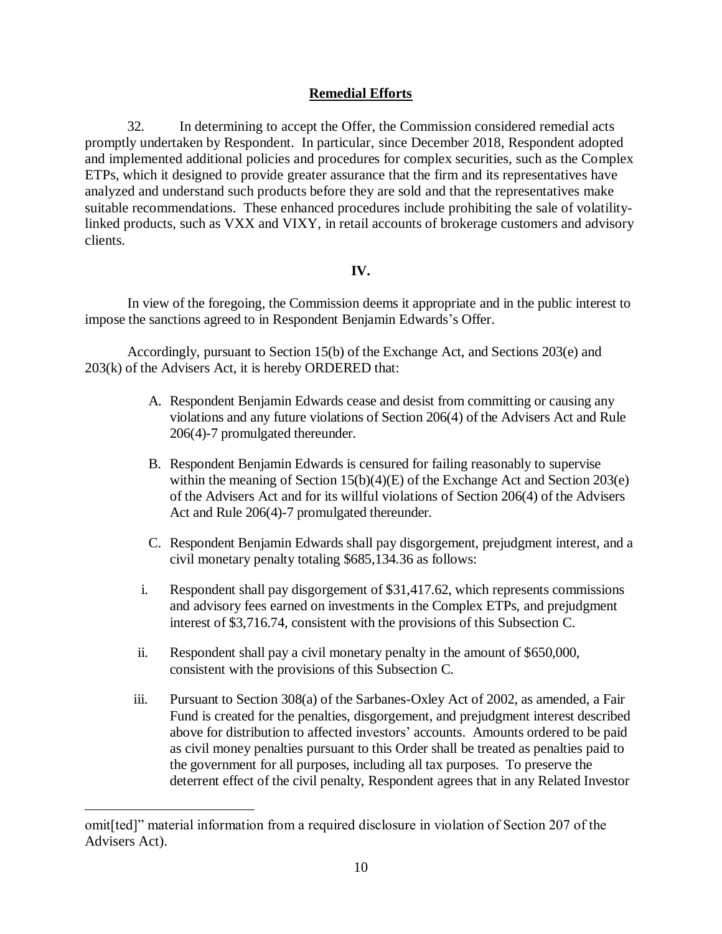## **Remedial Efforts**

32. In determining to accept the Offer, the Commission considered remedial acts promptly undertaken by Respondent. In particular, since December 2018, Respondent adopted and implemented additional policies and procedures for complex securities, such as the Complex ETPs, which it designed to provide greater assurance that the firm and its representatives have analyzed and understand such products before they are sold and that the representatives make suitable recommendations. These enhanced procedures include prohibiting the sale of volatilitylinked products, such as VXX and VIXY, in retail accounts of brokerage customers and advisory clients.

### **IV.**

In view of the foregoing, the Commission deems it appropriate and in the public interest to impose the sanctions agreed to in Respondent Benjamin Edwards's Offer.

Accordingly, pursuant to Section 15(b) of the Exchange Act, and Sections 203(e) and 203(k) of the Advisers Act, it is hereby ORDERED that:

- A. Respondent Benjamin Edwards cease and desist from committing or causing any violations and any future violations of Section 206(4) of the Advisers Act and Rule 206(4)-7 promulgated thereunder.
- B. Respondent Benjamin Edwards is censured for failing reasonably to supervise within the meaning of Section 15(b)(4)(E) of the Exchange Act and Section 203(e) of the Advisers Act and for its willful violations of Section 206(4) of the Advisers Act and Rule 206(4)-7 promulgated thereunder.
- C. Respondent Benjamin Edwards shall pay disgorgement, prejudgment interest, and a civil monetary penalty totaling \$685,134.36 as follows:
- i. Respondent shall pay disgorgement of \$31,417.62, which represents commissions and advisory fees earned on investments in the Complex ETPs, and prejudgment interest of \$3,716.74, consistent with the provisions of this Subsection C.
- ii. Respondent shall pay a civil monetary penalty in the amount of \$650,000, consistent with the provisions of this Subsection C.
- iii. Pursuant to Section 308(a) of the Sarbanes-Oxley Act of 2002, as amended, a Fair Fund is created for the penalties, disgorgement, and prejudgment interest described above for distribution to affected investors' accounts. Amounts ordered to be paid as civil money penalties pursuant to this Order shall be treated as penalties paid to the government for all purposes, including all tax purposes. To preserve the deterrent effect of the civil penalty, Respondent agrees that in any Related Investor

 $\overline{a}$ 

omit[ted]" material information from a required disclosure in violation of Section 207 of the Advisers Act).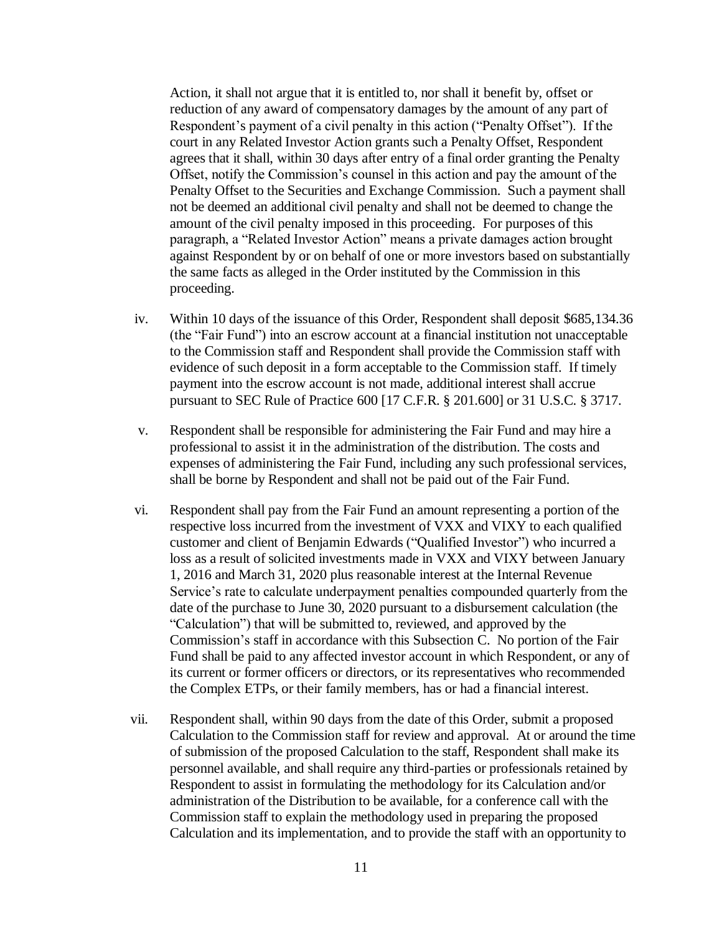Action, it shall not argue that it is entitled to, nor shall it benefit by, offset or reduction of any award of compensatory damages by the amount of any part of Respondent's payment of a civil penalty in this action ("Penalty Offset"). If the court in any Related Investor Action grants such a Penalty Offset, Respondent agrees that it shall, within 30 days after entry of a final order granting the Penalty Offset, notify the Commission's counsel in this action and pay the amount of the Penalty Offset to the Securities and Exchange Commission. Such a payment shall not be deemed an additional civil penalty and shall not be deemed to change the amount of the civil penalty imposed in this proceeding. For purposes of this paragraph, a "Related Investor Action" means a private damages action brought against Respondent by or on behalf of one or more investors based on substantially the same facts as alleged in the Order instituted by the Commission in this proceeding.

- iv. Within 10 days of the issuance of this Order, Respondent shall deposit \$685,134.36 (the "Fair Fund") into an escrow account at a financial institution not unacceptable to the Commission staff and Respondent shall provide the Commission staff with evidence of such deposit in a form acceptable to the Commission staff. If timely payment into the escrow account is not made, additional interest shall accrue pursuant to SEC Rule of Practice 600 [17 C.F.R. § 201.600] or 31 U.S.C. § 3717.
- v. Respondent shall be responsible for administering the Fair Fund and may hire a professional to assist it in the administration of the distribution. The costs and expenses of administering the Fair Fund, including any such professional services, shall be borne by Respondent and shall not be paid out of the Fair Fund.
- vi. Respondent shall pay from the Fair Fund an amount representing a portion of the respective loss incurred from the investment of VXX and VIXY to each qualified customer and client of Benjamin Edwards ("Qualified Investor") who incurred a loss as a result of solicited investments made in VXX and VIXY between January 1, 2016 and March 31, 2020 plus reasonable interest at the Internal Revenue Service's rate to calculate underpayment penalties compounded quarterly from the date of the purchase to June 30, 2020 pursuant to a disbursement calculation (the "Calculation") that will be submitted to, reviewed, and approved by the Commission's staff in accordance with this Subsection C. No portion of the Fair Fund shall be paid to any affected investor account in which Respondent, or any of its current or former officers or directors, or its representatives who recommended the Complex ETPs, or their family members, has or had a financial interest.
- vii. Respondent shall, within 90 days from the date of this Order, submit a proposed Calculation to the Commission staff for review and approval. At or around the time of submission of the proposed Calculation to the staff, Respondent shall make its personnel available, and shall require any third-parties or professionals retained by Respondent to assist in formulating the methodology for its Calculation and/or administration of the Distribution to be available, for a conference call with the Commission staff to explain the methodology used in preparing the proposed Calculation and its implementation, and to provide the staff with an opportunity to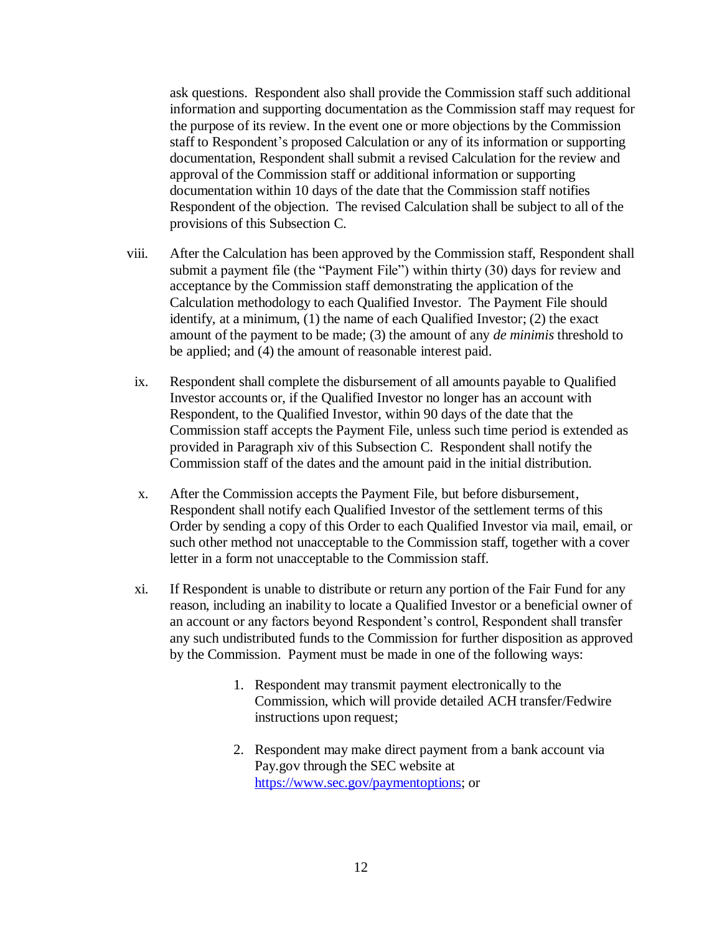ask questions. Respondent also shall provide the Commission staff such additional information and supporting documentation as the Commission staff may request for the purpose of its review. In the event one or more objections by the Commission staff to Respondent's proposed Calculation or any of its information or supporting documentation, Respondent shall submit a revised Calculation for the review and approval of the Commission staff or additional information or supporting documentation within 10 days of the date that the Commission staff notifies Respondent of the objection. The revised Calculation shall be subject to all of the provisions of this Subsection C.

- viii. After the Calculation has been approved by the Commission staff, Respondent shall submit a payment file (the "Payment File") within thirty (30) days for review and acceptance by the Commission staff demonstrating the application of the Calculation methodology to each Qualified Investor. The Payment File should identify, at a minimum, (1) the name of each Qualified Investor; (2) the exact amount of the payment to be made; (3) the amount of any *de minimis* threshold to be applied; and (4) the amount of reasonable interest paid.
- ix. Respondent shall complete the disbursement of all amounts payable to Qualified Investor accounts or, if the Qualified Investor no longer has an account with Respondent, to the Qualified Investor, within 90 days of the date that the Commission staff accepts the Payment File, unless such time period is extended as provided in Paragraph xiv of this Subsection C. Respondent shall notify the Commission staff of the dates and the amount paid in the initial distribution.
- x. After the Commission accepts the Payment File, but before disbursement, Respondent shall notify each Qualified Investor of the settlement terms of this Order by sending a copy of this Order to each Qualified Investor via mail, email, or such other method not unacceptable to the Commission staff, together with a cover letter in a form not unacceptable to the Commission staff.
- xi. If Respondent is unable to distribute or return any portion of the Fair Fund for any reason, including an inability to locate a Qualified Investor or a beneficial owner of an account or any factors beyond Respondent's control, Respondent shall transfer any such undistributed funds to the Commission for further disposition as approved by the Commission. Payment must be made in one of the following ways:
	- 1. Respondent may transmit payment electronically to the Commission, which will provide detailed ACH transfer/Fedwire instructions upon request;
	- 2. Respondent may make direct payment from a bank account via Pay.gov through the SEC website at [https://www.sec.gov/paymentoptions;](https://www.sec.gov/paymentoptions) or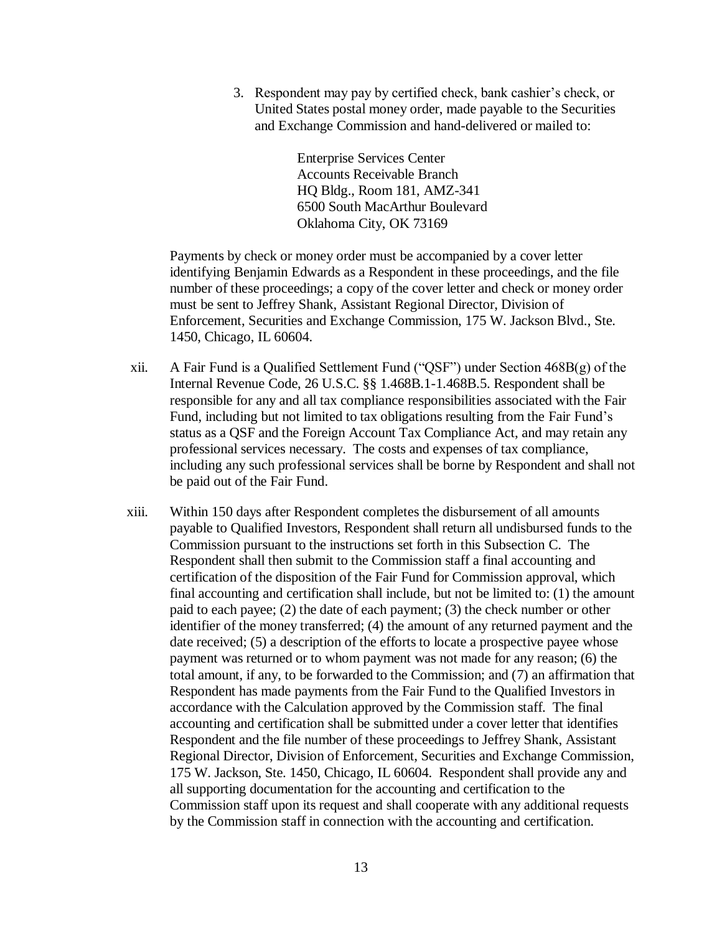3. Respondent may pay by certified check, bank cashier's check, or United States postal money order, made payable to the Securities and Exchange Commission and hand-delivered or mailed to:

> Enterprise Services Center Accounts Receivable Branch HQ Bldg., Room 181, AMZ-341 6500 South MacArthur Boulevard Oklahoma City, OK 73169

Payments by check or money order must be accompanied by a cover letter identifying Benjamin Edwards as a Respondent in these proceedings, and the file number of these proceedings; a copy of the cover letter and check or money order must be sent to Jeffrey Shank, Assistant Regional Director, Division of Enforcement, Securities and Exchange Commission, 175 W. Jackson Blvd., Ste. 1450, Chicago, IL 60604.

- xii. A Fair Fund is a Qualified Settlement Fund ("QSF") under Section 468B(g) of the Internal Revenue Code, 26 U.S.C. §§ 1.468B.1-1.468B.5. Respondent shall be responsible for any and all tax compliance responsibilities associated with the Fair Fund, including but not limited to tax obligations resulting from the Fair Fund's status as a QSF and the Foreign Account Tax Compliance Act, and may retain any professional services necessary. The costs and expenses of tax compliance, including any such professional services shall be borne by Respondent and shall not be paid out of the Fair Fund.
- xiii. Within 150 days after Respondent completes the disbursement of all amounts payable to Qualified Investors, Respondent shall return all undisbursed funds to the Commission pursuant to the instructions set forth in this Subsection C. The Respondent shall then submit to the Commission staff a final accounting and certification of the disposition of the Fair Fund for Commission approval, which final accounting and certification shall include, but not be limited to: (1) the amount paid to each payee; (2) the date of each payment; (3) the check number or other identifier of the money transferred; (4) the amount of any returned payment and the date received; (5) a description of the efforts to locate a prospective payee whose payment was returned or to whom payment was not made for any reason; (6) the total amount, if any, to be forwarded to the Commission; and (7) an affirmation that Respondent has made payments from the Fair Fund to the Qualified Investors in accordance with the Calculation approved by the Commission staff. The final accounting and certification shall be submitted under a cover letter that identifies Respondent and the file number of these proceedings to Jeffrey Shank, Assistant Regional Director, Division of Enforcement, Securities and Exchange Commission, 175 W. Jackson, Ste. 1450, Chicago, IL 60604. Respondent shall provide any and all supporting documentation for the accounting and certification to the Commission staff upon its request and shall cooperate with any additional requests by the Commission staff in connection with the accounting and certification.